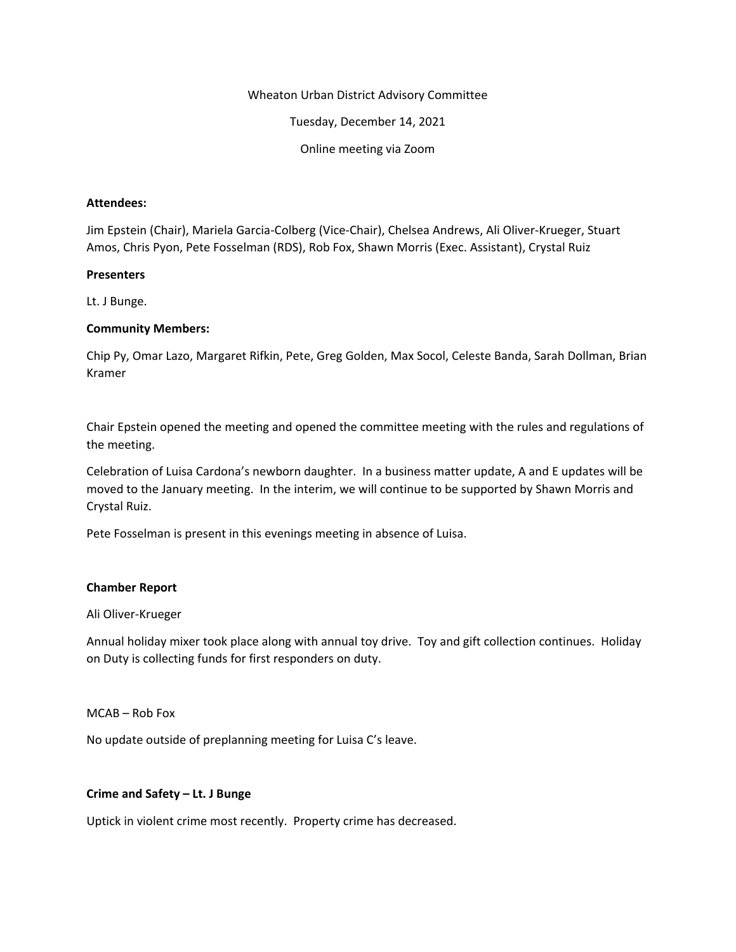Wheaton Urban District Advisory Committee

Tuesday, December 14, 2021

Online meeting via Zoom

#### **Attendees:**

Jim Epstein (Chair), Mariela Garcia-Colberg (Vice-Chair), Chelsea Andrews, Ali Oliver-Krueger, Stuart Amos, Chris Pyon, Pete Fosselman (RDS), Rob Fox, Shawn Morris (Exec. Assistant), Crystal Ruiz

### **Presenters**

Lt. J Bunge.

# **Community Members:**

Chip Py, Omar Lazo, Margaret Rifkin, Pete, Greg Golden, Max Socol, Celeste Banda, Sarah Dollman, Brian Kramer

Chair Epstein opened the meeting and opened the committee meeting with the rules and regulations of the meeting.

Celebration of Luisa Cardona's newborn daughter. In a business matter update, A and E updates will be moved to the January meeting. In the interim, we will continue to be supported by Shawn Morris and Crystal Ruiz.

Pete Fosselman is present in this evenings meeting in absence of Luisa.

# **Chamber Report**

Ali Oliver-Krueger

Annual holiday mixer took place along with annual toy drive. Toy and gift collection continues. Holiday on Duty is collecting funds for first responders on duty.

MCAB – Rob Fox

No update outside of preplanning meeting for Luisa C's leave.

#### **Crime and Safety – Lt. J Bunge**

Uptick in violent crime most recently. Property crime has decreased.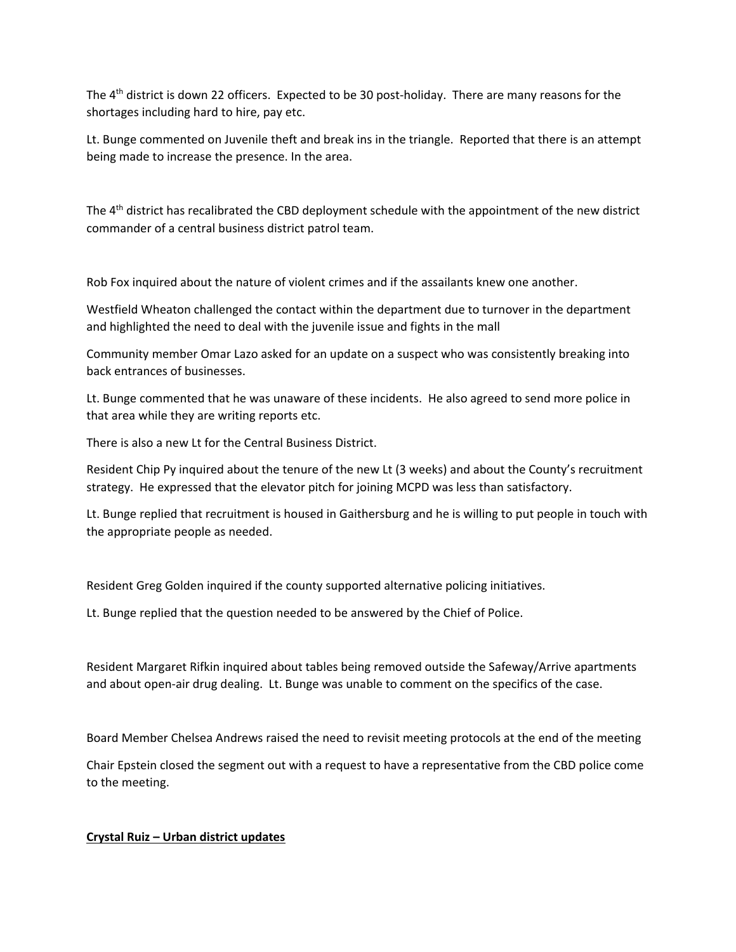The  $4<sup>th</sup>$  district is down 22 officers. Expected to be 30 post-holiday. There are many reasons for the shortages including hard to hire, pay etc.

Lt. Bunge commented on Juvenile theft and break ins in the triangle. Reported that there is an attempt being made to increase the presence. In the area.

The 4<sup>th</sup> district has recalibrated the CBD deployment schedule with the appointment of the new district commander of a central business district patrol team.

Rob Fox inquired about the nature of violent crimes and if the assailants knew one another.

Westfield Wheaton challenged the contact within the department due to turnover in the department and highlighted the need to deal with the juvenile issue and fights in the mall

Community member Omar Lazo asked for an update on a suspect who was consistently breaking into back entrances of businesses.

Lt. Bunge commented that he was unaware of these incidents. He also agreed to send more police in that area while they are writing reports etc.

There is also a new Lt for the Central Business District.

Resident Chip Py inquired about the tenure of the new Lt (3 weeks) and about the County's recruitment strategy. He expressed that the elevator pitch for joining MCPD was less than satisfactory.

Lt. Bunge replied that recruitment is housed in Gaithersburg and he is willing to put people in touch with the appropriate people as needed.

Resident Greg Golden inquired if the county supported alternative policing initiatives.

Lt. Bunge replied that the question needed to be answered by the Chief of Police.

Resident Margaret Rifkin inquired about tables being removed outside the Safeway/Arrive apartments and about open-air drug dealing. Lt. Bunge was unable to comment on the specifics of the case.

Board Member Chelsea Andrews raised the need to revisit meeting protocols at the end of the meeting

Chair Epstein closed the segment out with a request to have a representative from the CBD police come to the meeting.

#### **Crystal Ruiz – Urban district updates**